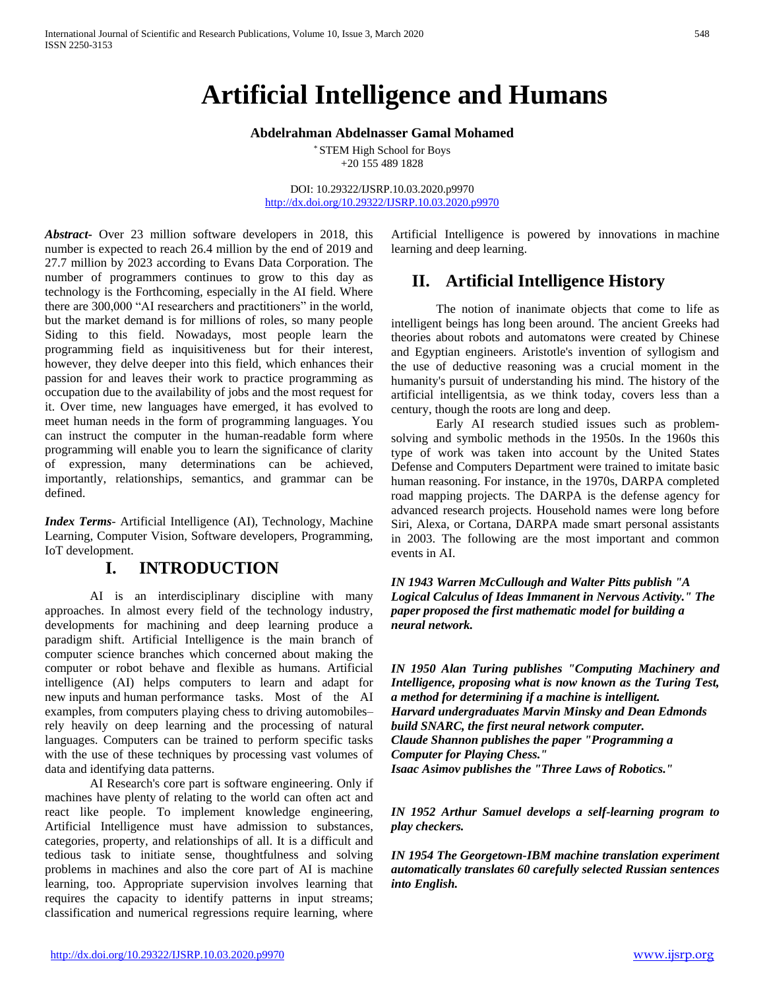# **Artificial Intelligence and Humans**

#### **Abdelrahman Abdelnasser Gamal Mohamed**

\* STEM High School for Boys +20 155 489 1828

DOI: 10.29322/IJSRP.10.03.2020.p9970 <http://dx.doi.org/10.29322/IJSRP.10.03.2020.p9970>

*Abstract***-** Over 23 million software developers in 2018, this number is expected to reach 26.4 million by the end of 2019 and 27.7 million by 2023 according to Evans Data Corporation. The number of programmers continues to grow to this day as technology is the Forthcoming, especially in the AI field. Where there are 300,000 "AI researchers and practitioners" in the world, but the market demand is for millions of roles, so many people Siding to this field. Nowadays, most people learn the programming field as inquisitiveness but for their interest, however, they delve deeper into this field, which enhances their passion for and leaves their work to practice programming as occupation due to the availability of jobs and the most request for it. Over time, new languages have emerged, it has evolved to meet human needs in the form of programming languages. You can instruct the computer in the human-readable form where programming will enable you to learn the significance of clarity of expression, many determinations can be achieved, importantly, relationships, semantics, and grammar can be defined.

*Index Terms*- Artificial Intelligence (AI), Technology, Machine Learning, Computer Vision, Software developers, Programming, IoT development.

#### **I. INTRODUCTION**

AI is an interdisciplinary discipline with many approaches. In almost every field of the technology industry, developments for machining and deep learning produce a paradigm shift. Artificial Intelligence is the main branch of computer science branches which concerned about making the computer or robot behave and flexible as humans. Artificial intelligence (AI) helps computers to learn and adapt for new inputs and human performance tasks. Most of the AI examples, from computers playing chess to driving automobiles– rely heavily on deep learning and the processing of natural languages. Computers can be trained to perform specific tasks with the use of these techniques by processing vast volumes of data and identifying data patterns.

AI Research's core part is software engineering. Only if machines have plenty of relating to the world can often act and react like people. To implement knowledge engineering, Artificial Intelligence must have admission to substances, categories, property, and relationships of all. It is a difficult and tedious task to initiate sense, thoughtfulness and solving problems in machines and also the core part of AI is machine learning, too. Appropriate supervision involves learning that requires the capacity to identify patterns in input streams; classification and numerical regressions require learning, where

Artificial Intelligence is powered by innovations in machine learning and deep learning.

## **II. Artificial Intelligence History**

The notion of inanimate objects that come to life as intelligent beings has long been around. The ancient Greeks had theories about robots and automatons were created by Chinese and Egyptian engineers. Aristotle's invention of syllogism and the use of deductive reasoning was a crucial moment in the humanity's pursuit of understanding his mind. The history of the artificial intelligentsia, as we think today, covers less than a century, though the roots are long and deep.

Early AI research studied issues such as problemsolving and symbolic methods in the 1950s. In the 1960s this type of work was taken into account by the United States Defense and Computers Department were trained to imitate basic human reasoning. For instance, in the 1970s, DARPA completed road mapping projects. The DARPA is the defense agency for advanced research projects. Household names were long before Siri, Alexa, or Cortana, DARPA made smart personal assistants in 2003. The following are the most important and common events in AI.

*IN 1943 Warren McCullough and Walter Pitts publish "A Logical Calculus of Ideas Immanent in Nervous Activity." The paper proposed the first mathematic model for building a neural network.*

*IN 1950 Alan Turing publishes "Computing Machinery and Intelligence, proposing what is now known as the Turing Test, a method for determining if a machine is intelligent. Harvard undergraduates Marvin Minsky and Dean Edmonds build SNARC, the first neural network computer. Claude Shannon publishes the paper "Programming a Computer for Playing Chess." Isaac Asimov publishes the "Three Laws of Robotics."* 

*IN 1952 Arthur Samuel develops a self-learning program to play checkers.*

*IN 1954 The Georgetown-IBM machine translation experiment automatically translates 60 carefully selected Russian sentences into English.*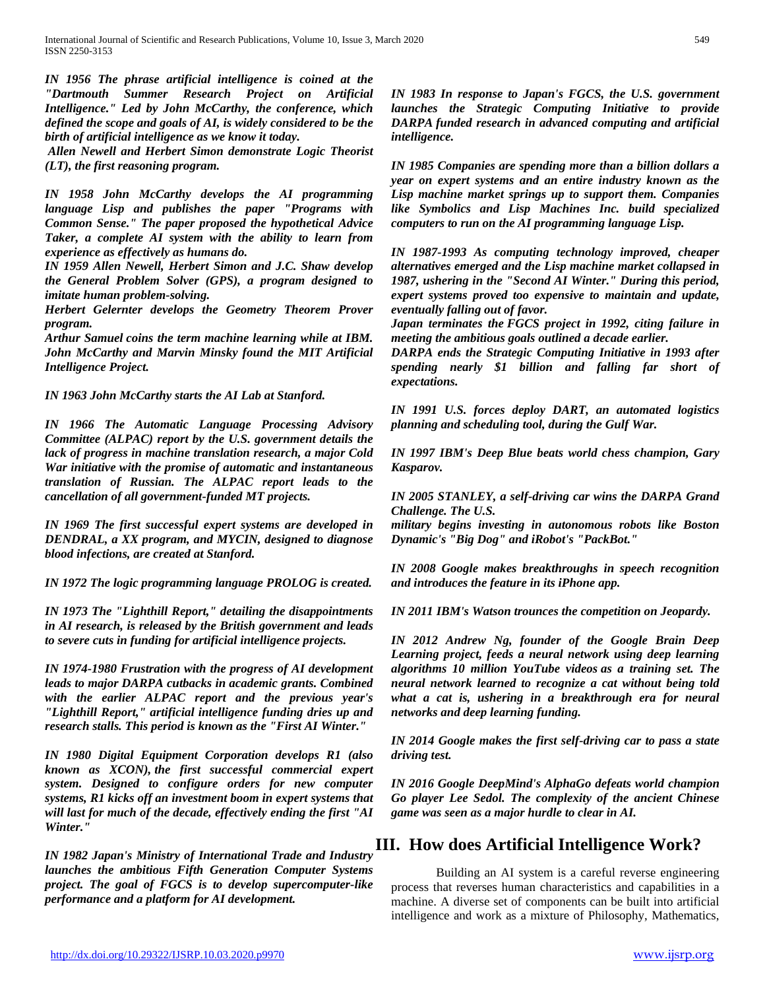*IN 1956 The phrase artificial intelligence is coined at the "Dartmouth Summer Research Project on Artificial Intelligence." Led by John McCarthy, the conference, which defined the scope and goals of AI, is widely considered to be the birth of artificial intelligence as we know it today.*

*Allen Newell and Herbert Simon demonstrate Logic Theorist (LT), the first reasoning program.*

*IN 1958 John McCarthy develops the AI programming language Lisp and publishes the paper "Programs with Common Sense." The paper proposed the hypothetical Advice Taker, a complete AI system with the ability to learn from experience as effectively as humans do.*

*IN 1959 Allen Newell, Herbert Simon and J.C. Shaw develop the General Problem Solver (GPS), a program designed to imitate human problem-solving.*

*Herbert Gelernter develops the Geometry Theorem Prover program.*

*Arthur Samuel coins the term machine learning while at IBM. John McCarthy and Marvin Minsky found the MIT Artificial Intelligence Project.*

*IN 1963 John McCarthy starts the AI Lab at Stanford.*

*IN 1966 The Automatic Language Processing Advisory Committee (ALPAC) report by the U.S. government details the lack of progress in machine translation research, a major Cold War initiative with the promise of automatic and instantaneous translation of Russian. The ALPAC report leads to the cancellation of all government-funded MT projects.*

*IN 1969 The first successful expert systems are developed in DENDRAL, a XX program, and MYCIN, designed to diagnose blood infections, are created at Stanford.*

*IN 1972 The logic programming language PROLOG is created.*

*IN 1973 The "Lighthill Report," detailing the disappointments in AI research, is released by the British government and leads to severe cuts in funding for artificial intelligence projects.*

*IN 1974-1980 Frustration with the progress of AI development leads to major DARPA cutbacks in academic grants. Combined with the earlier ALPAC report and the previous year's "Lighthill Report," artificial intelligence funding dries up and research stalls. This period is known as the "First AI Winter."*

*IN 1980 Digital Equipment Corporation develops R1 (also known as XCON), the first successful commercial expert system. Designed to configure orders for new computer systems, R1 kicks off an investment boom in expert systems that will last for much of the decade, effectively ending the first "AI Winter."*

*IN 1982 Japan's Ministry of International Trade and Industry launches the ambitious Fifth Generation Computer Systems project. The goal of FGCS is to develop supercomputer-like performance and a platform for AI development.*

*IN 1983 In response to Japan's FGCS, the U.S. government launches the Strategic Computing Initiative to provide DARPA funded research in advanced computing and artificial intelligence.*

*IN 1985 Companies are spending more than a billion dollars a year on expert systems and an entire industry known as the Lisp machine market springs up to support them. Companies like Symbolics and Lisp Machines Inc. build specialized computers to run on the AI programming language Lisp.*

*IN 1987-1993 As computing technology improved, cheaper alternatives emerged and the Lisp machine market collapsed in 1987, ushering in the "Second AI Winter." During this period, expert systems proved too expensive to maintain and update, eventually falling out of favor.*

*Japan terminates the FGCS project in 1992, citing failure in meeting the ambitious goals outlined a decade earlier.*

*DARPA ends the Strategic Computing Initiative in 1993 after spending nearly \$1 billion and falling far short of expectations.*

*IN 1991 U.S. forces deploy DART, an automated logistics planning and scheduling tool, during the Gulf War.*

*IN 1997 IBM's Deep Blue beats world chess champion, Gary Kasparov.*

*IN 2005 STANLEY, a self-driving car wins the DARPA Grand Challenge. The U.S.*

*military begins investing in autonomous robots like Boston Dynamic's "Big Dog" and iRobot's "PackBot."*

*IN 2008 Google makes breakthroughs in speech recognition and introduces the feature in its iPhone app.*

*IN 2011 IBM's Watson trounces the competition on Jeopardy.* 

*IN 2012 Andrew Ng, founder of the Google Brain Deep Learning project, feeds a neural network using deep learning algorithms 10 million YouTube videos as a training set. The neural network learned to recognize a cat without being told what a cat is, ushering in a breakthrough era for neural networks and deep learning funding.*

*IN 2014 Google makes the first self-driving car to pass a state driving test.*

*IN 2016 Google DeepMind's AlphaGo defeats world champion Go player Lee Sedol. The complexity of the ancient Chinese game was seen as a major hurdle to clear in AI.*

# **III. How does Artificial Intelligence Work?**

Building an AI system is a careful reverse engineering process that reverses human characteristics and capabilities in a machine. A diverse set of components can be built into artificial intelligence and work as a mixture of Philosophy, Mathematics,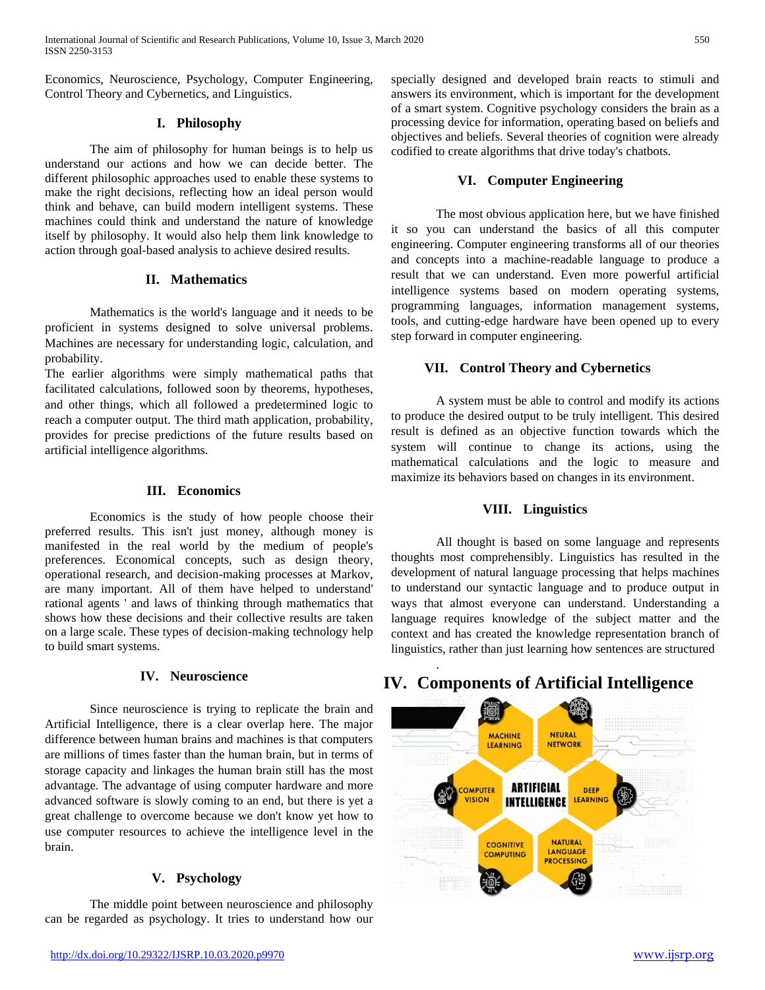Economics, Neuroscience, Psychology, Computer Engineering, Control Theory and Cybernetics, and Linguistics.

#### **I. Philosophy**

The aim of philosophy for human beings is to help us understand our actions and how we can decide better. The different philosophic approaches used to enable these systems to make the right decisions, reflecting how an ideal person would think and behave, can build modern intelligent systems. These machines could think and understand the nature of knowledge itself by philosophy. It would also help them link knowledge to action through goal-based analysis to achieve desired results.

#### **II. Mathematics**

Mathematics is the world's language and it needs to be proficient in systems designed to solve universal problems. Machines are necessary for understanding logic, calculation, and probability.

The earlier algorithms were simply mathematical paths that facilitated calculations, followed soon by theorems, hypotheses, and other things, which all followed a predetermined logic to reach a computer output. The third math application, probability, provides for precise predictions of the future results based on artificial intelligence algorithms.

#### **III. Economics**

Economics is the study of how people choose their preferred results. This isn't just money, although money is manifested in the real world by the medium of people's preferences. Economical concepts, such as design theory, operational research, and decision-making processes at Markov, are many important. All of them have helped to understand' rational agents ' and laws of thinking through mathematics that shows how these decisions and their collective results are taken on a large scale. These types of decision-making technology help to build smart systems.

#### **IV. Neuroscience**

Since neuroscience is trying to replicate the brain and Artificial Intelligence, there is a clear overlap here. The major difference between human brains and machines is that computers are millions of times faster than the human brain, but in terms of storage capacity and linkages the human brain still has the most advantage. The advantage of using computer hardware and more advanced software is slowly coming to an end, but there is yet a great challenge to overcome because we don't know yet how to use computer resources to achieve the intelligence level in the brain.

#### **V. Psychology**

The middle point between neuroscience and philosophy can be regarded as psychology. It tries to understand how our specially designed and developed brain reacts to stimuli and answers its environment, which is important for the development of a smart system. Cognitive psychology considers the brain as a processing device for information, operating based on beliefs and objectives and beliefs. Several theories of cognition were already codified to create algorithms that drive today's chatbots.

#### **VI. Computer Engineering**

The most obvious application here, but we have finished it so you can understand the basics of all this computer engineering. Computer engineering transforms all of our theories and concepts into a machine-readable language to produce a result that we can understand. Even more powerful artificial intelligence systems based on modern operating systems, programming languages, information management systems, tools, and cutting-edge hardware have been opened up to every step forward in computer engineering.

#### **VII. Control Theory and Cybernetics**

A system must be able to control and modify its actions to produce the desired output to be truly intelligent. This desired result is defined as an objective function towards which the system will continue to change its actions, using the mathematical calculations and the logic to measure and maximize its behaviors based on changes in its environment.

#### **VIII. Linguistics**

All thought is based on some language and represents thoughts most comprehensibly. Linguistics has resulted in the development of natural language processing that helps machines to understand our syntactic language and to produce output in ways that almost everyone can understand. Understanding a language requires knowledge of the subject matter and the context and has created the knowledge representation branch of linguistics, rather than just learning how sentences are structured

# **IV. Components of Artificial Intelligence**

.